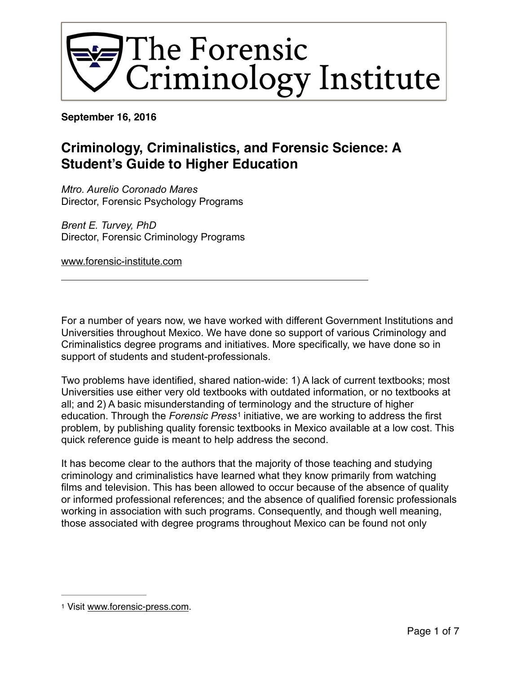

**September 16, 2016**

# **Criminology, Criminalistics, and Forensic Science: A Student's Guide to Higher Education**

*Mtro. Aurelio Coronado Mares*  Director, Forensic Psychology Programs

*Brent E. Turvey, PhD*  Director, Forensic Criminology Programs

[www.forensic-institute.com](http://www.forensic-institute.com)

For a number of years now, we have worked with different Government Institutions and Universities throughout Mexico. We have done so support of various Criminology and Criminalistics degree programs and initiatives. More specifically, we have done so in support of students and student-professionals.

<span id="page-0-1"></span>Two problems have identified, shared nation-wide: 1) A lack of current textbooks; most Universities use either very old textbooks with outdated information, or no textbooks at all; and 2) A basic misunderstanding of terminology and the structure of higher education. Through the *Forensic Press<sup>[1](#page-0-0)</sup>* initiative, we are working to address the first problem, by publishing quality forensic textbooks in Mexico available at a low cost. This quick reference guide is meant to help address the second.

It has become clear to the authors that the majority of those teaching and studying criminology and criminalistics have learned what they know primarily from watching films and television. This has been allowed to occur because of the absence of quality or informed professional references; and the absence of qualified forensic professionals working in association with such programs. Consequently, and though well meaning, those associated with degree programs throughout Mexico can be found not only

<span id="page-0-0"></span>[<sup>1</sup>](#page-0-1) Visit [www.forensic-press.com.](http://www.forensic-press.com)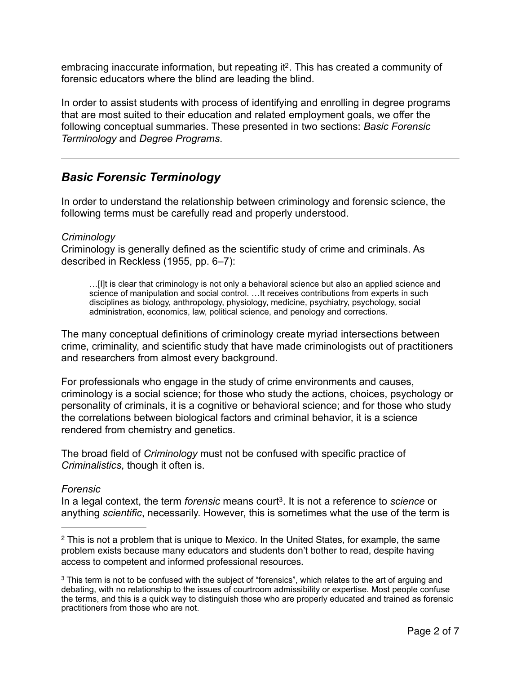<span id="page-1-2"></span>embracing inaccurate information, but repeating it<sup>2</sup>[.](#page-1-0) This has created a community of forensic educators where the blind are leading the blind.

In order to assist students with process of identifying and enrolling in degree programs that are most suited to their education and related employment goals, we offer the following conceptual summaries. These presented in two sections: *Basic Forensic Terminology* and *Degree Programs*.

# *Basic Forensic Terminology*

In order to understand the relationship between criminology and forensic science, the following terms must be carefully read and properly understood.

## *Criminology*

Criminology is generally defined as the scientific study of crime and criminals. As described in Reckless (1955, pp. 6–7):

…[I]t is clear that criminology is not only a behavioral science but also an applied science and science of manipulation and social control. ... It receives contributions from experts in such disciplines as biology, anthropology, physiology, medicine, psychiatry, psychology, social administration, economics, law, political science, and penology and corrections.

The many conceptual definitions of criminology create myriad intersections between crime, criminality, and scientific study that have made criminologists out of practitioners and researchers from almost every background.

For professionals who engage in the study of crime environments and causes, criminology is a social science; for those who study the actions, choices, psychology or personality of criminals, it is a cognitive or behavioral science; and for those who study the correlations between biological factors and criminal behavior, it is a science rendered from chemistry and genetics.

The broad field of *Criminology* must not be confused with specific practice of *Criminalistics*, though it often is.

#### *Forensic*

<span id="page-1-3"></span>In a legal context, the term *forensic* means court<sup>[3](#page-1-1)</sup>. It is not a reference to *science* or anything *scientific*, necessarily. However, this is sometimes what the use of the term is

<span id="page-1-0"></span><sup>&</sup>lt;sup>[2](#page-1-2)</sup> This is not a problem that is unique to Mexico. In the United States, for example, the same problem exists because many educators and students don't bother to read, despite having access to competent and informed professional resources.

<span id="page-1-1"></span><sup>&</sup>lt;sup>3</sup>This term is not to be confused with the subject of "forensics", which relates to the art of arguing and debating, with no relationship to the issues of courtroom admissibility or expertise. Most people confuse the terms, and this is a quick way to distinguish those who are properly educated and trained as forensic practitioners from those who are not.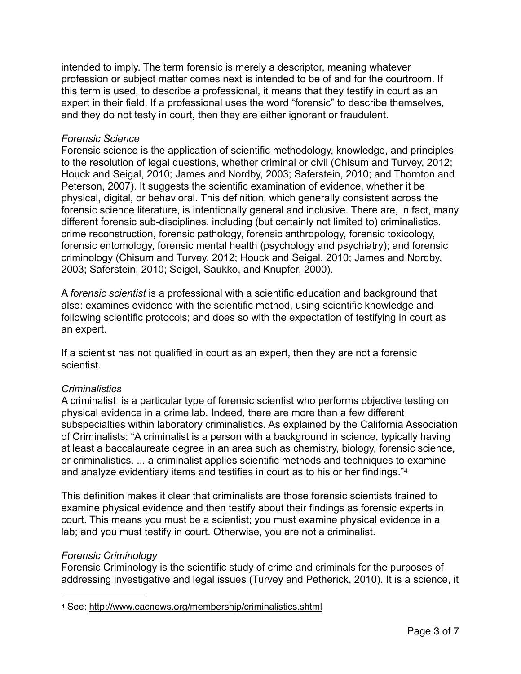intended to imply. The term forensic is merely a descriptor, meaning whatever profession or subject matter comes next is intended to be of and for the courtroom. If this term is used, to describe a professional, it means that they testify in court as an expert in their field. If a professional uses the word "forensic" to describe themselves, and they do not testy in court, then they are either ignorant or fraudulent.

#### *Forensic Science*

Forensic science is the application of scientific methodology, knowledge, and principles to the resolution of legal questions, whether criminal or civil (Chisum and Turvey, 2012; Houck and Seigal, 2010; James and Nordby, 2003; Saferstein, 2010; and Thornton and Peterson, 2007). It suggests the scientific examination of evidence, whether it be physical, digital, or behavioral. This definition, which generally consistent across the forensic science literature, is intentionally general and inclusive. There are, in fact, many different forensic sub-disciplines, including (but certainly not limited to) criminalistics, crime reconstruction, forensic pathology, forensic anthropology, forensic toxicology, forensic entomology, forensic mental health (psychology and psychiatry); and forensic criminology (Chisum and Turvey, 2012; Houck and Seigal, 2010; James and Nordby, 2003; Saferstein, 2010; Seigel, Saukko, and Knupfer, 2000).

A *forensic scientist* is a professional with a scientific education and background that also: examines evidence with the scientific method, using scientific knowledge and following scientific protocols; and does so with the expectation of testifying in court as an expert.

If a scientist has not qualified in court as an expert, then they are not a forensic scientist.

## *Criminalistics*

A criminalist is a particular type of forensic scientist who performs objective testing on physical evidence in a crime lab. Indeed, there are more than a few different subspecialties within laboratory criminalistics. As explained by the California Association of Criminalists: "A criminalist is a person with a background in science, typically having at least a baccalaureate degree in an area such as chemistry, biology, forensic science, or criminalistics. ... a criminalist applies scientific methods and techniques to examine and analyze evidentiary items and testifies in court as to his or her findings."[4](#page-2-0)

<span id="page-2-1"></span>This definition makes it clear that criminalists are those forensic scientists trained to examine physical evidence and then testify about their findings as forensic experts in court. This means you must be a scientist; you must examine physical evidence in a lab; and you must testify in court. Otherwise, you are not a criminalist.

## *Forensic Criminology*

Forensic Criminology is the scientific study of crime and criminals for the purposes of addressing investigative and legal issues (Turvey and Petherick, 2010). It is a science, it

<span id="page-2-0"></span>[4](#page-2-1) See: <http://www.cacnews.org/membership/criminalistics.shtml>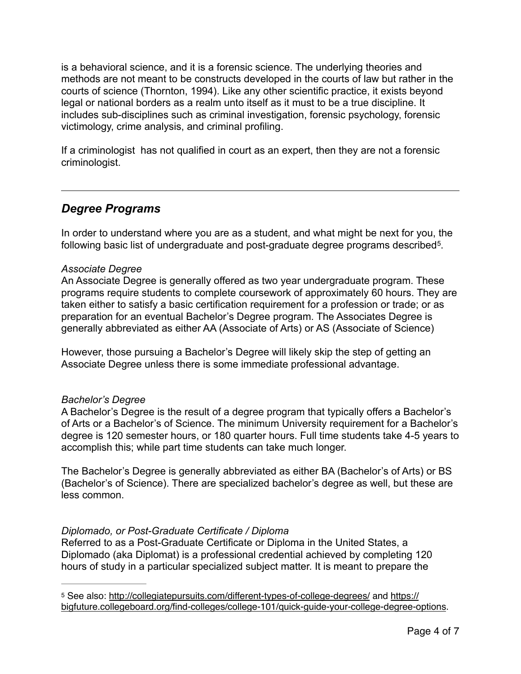is a behavioral science, and it is a forensic science. The underlying theories and methods are not meant to be constructs developed in the courts of law but rather in the courts of science (Thornton, 1994). Like any other scientific practice, it exists beyond legal or national borders as a realm unto itself as it must to be a true discipline. It includes sub-disciplines such as criminal investigation, forensic psychology, forensic victimology, crime analysis, and criminal profiling.

If a criminologist has not qualified in court as an expert, then they are not a forensic criminologist.

## *Degree Programs*

<span id="page-3-1"></span>In order to understand where you are as a student, and what might be next for you, the following basic list of undergraduate and post-graduate degree programs described<sup>[5](#page-3-0)</sup>.

## *Associate Degree*

An Associate Degree is generally offered as two year undergraduate program. These programs require students to complete coursework of approximately 60 hours. They are taken either to satisfy a basic certification requirement for a profession or trade; or as preparation for an eventual Bachelor's Degree program. The Associates Degree is generally abbreviated as either AA (Associate of Arts) or AS (Associate of Science)

However, those pursuing a Bachelor's Degree will likely skip the step of getting an Associate Degree unless there is some immediate professional advantage.

## *Bachelor's Degree*

A Bachelor's Degree is the result of a degree program that typically offers a Bachelor's of Arts or a Bachelor's of Science. The minimum University requirement for a Bachelor's degree is 120 semester hours, or 180 quarter hours. Full time students take 4-5 years to accomplish this; while part time students can take much longer.

The Bachelor's Degree is generally abbreviated as either BA (Bachelor's of Arts) or BS (Bachelor's of Science). There are specialized bachelor's degree as well, but these are less common.

## *Diplomado, or Post-Graduate Certificate / Diploma*

Referred to as a Post-Graduate Certificate or Diploma in the United States, a Diplomado (aka Diplomat) is a professional credential achieved by completing 120 hours of study in a particular specialized subject matter. It is meant to prepare the

<span id="page-3-0"></span>[<sup>5</sup>](#page-3-1) See also:<http://collegiatepursuits.com/different-types-of-college-degrees/>and [https://](https://bigfuture.collegeboard.org/find-colleges/college-101/quick-guide-your-college-degree-options) [bigfuture.collegeboard.org/find-colleges/college-101/quick-guide-your-college-degree-options](https://bigfuture.collegeboard.org/find-colleges/college-101/quick-guide-your-college-degree-options).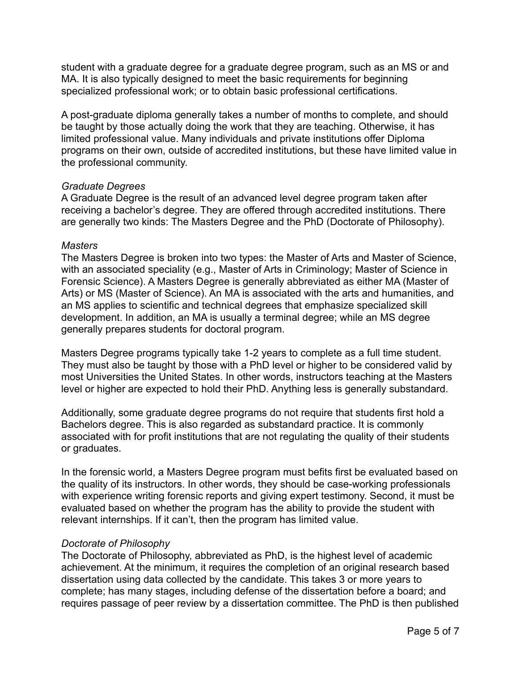student with a graduate degree for a graduate degree program, such as an MS or and MA. It is also typically designed to meet the basic requirements for beginning specialized professional work; or to obtain basic professional certifications.

A post-graduate diploma generally takes a number of months to complete, and should be taught by those actually doing the work that they are teaching. Otherwise, it has limited professional value. Many individuals and private institutions offer Diploma programs on their own, outside of accredited institutions, but these have limited value in the professional community.

#### *Graduate Degrees*

A Graduate Degree is the result of an advanced level degree program taken after receiving a bachelor's degree. They are offered through accredited institutions. There are generally two kinds: The Masters Degree and the PhD (Doctorate of Philosophy).

#### *Masters*

The Masters Degree is broken into two types: the Master of Arts and Master of Science, with an associated speciality (e.g., Master of Arts in Criminology; Master of Science in Forensic Science). A Masters Degree is generally abbreviated as either MA (Master of Arts) or MS (Master of Science). An MA is associated with the arts and humanities, and an MS applies to scientific and technical degrees that emphasize specialized skill development. In addition, an MA is usually a terminal degree; while an MS degree generally prepares students for doctoral program.

Masters Degree programs typically take 1-2 years to complete as a full time student. They must also be taught by those with a PhD level or higher to be considered valid by most Universities the United States. In other words, instructors teaching at the Masters level or higher are expected to hold their PhD. Anything less is generally substandard.

Additionally, some graduate degree programs do not require that students first hold a Bachelors degree. This is also regarded as substandard practice. It is commonly associated with for profit institutions that are not regulating the quality of their students or graduates.

In the forensic world, a Masters Degree program must befits first be evaluated based on the quality of its instructors. In other words, they should be case-working professionals with experience writing forensic reports and giving expert testimony. Second, it must be evaluated based on whether the program has the ability to provide the student with relevant internships. If it can't, then the program has limited value.

## *Doctorate of Philosophy*

The Doctorate of Philosophy, abbreviated as PhD, is the highest level of academic achievement. At the minimum, it requires the completion of an original research based dissertation using data collected by the candidate. This takes 3 or more years to complete; has many stages, including defense of the dissertation before a board; and requires passage of peer review by a dissertation committee. The PhD is then published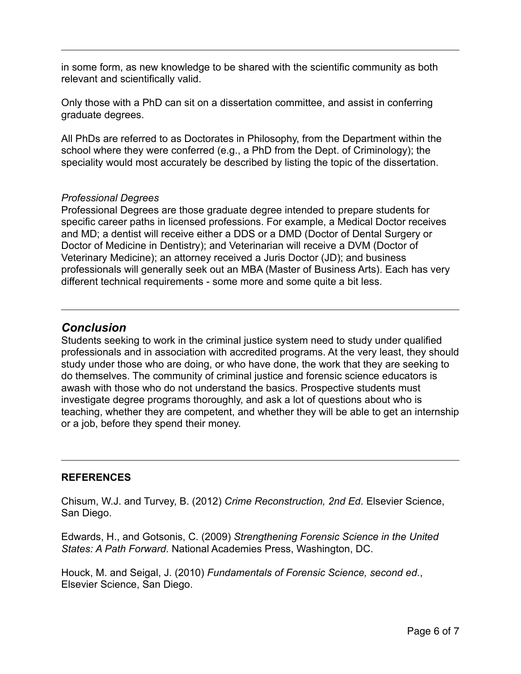in some form, as new knowledge to be shared with the scientific community as both relevant and scientifically valid.

Only those with a PhD can sit on a dissertation committee, and assist in conferring graduate degrees.

All PhDs are referred to as Doctorates in Philosophy, from the Department within the school where they were conferred (e.g., a PhD from the Dept. of Criminology); the speciality would most accurately be described by listing the topic of the dissertation.

## *Professional Degrees*

Professional Degrees are those graduate degree intended to prepare students for specific career paths in licensed professions. For example, a Medical Doctor receives and MD; a dentist will receive either a DDS or a DMD (Doctor of Dental Surgery or Doctor of Medicine in Dentistry); and Veterinarian will receive a DVM (Doctor of Veterinary Medicine); an attorney received a Juris Doctor (JD); and business professionals will generally seek out an MBA (Master of Business Arts). Each has very different technical requirements - some more and some quite a bit less.

## *Conclusion*

Students seeking to work in the criminal justice system need to study under qualified professionals and in association with accredited programs. At the very least, they should study under those who are doing, or who have done, the work that they are seeking to do themselves. The community of criminal justice and forensic science educators is awash with those who do not understand the basics. Prospective students must investigate degree programs thoroughly, and ask a lot of questions about who is teaching, whether they are competent, and whether they will be able to get an internship or a job, before they spend their money.

## **REFERENCES**

Chisum, W.J. and Turvey, B. (2012) *Crime Reconstruction, 2nd Ed*. Elsevier Science, San Diego.

Edwards, H., and Gotsonis, C. (2009) *Strengthening Forensic Science in the United States: A Path Forward*. National Academies Press, Washington, DC.

Houck, M. and Seigal, J. (2010) *Fundamentals of Forensic Science, second ed*., Elsevier Science, San Diego.